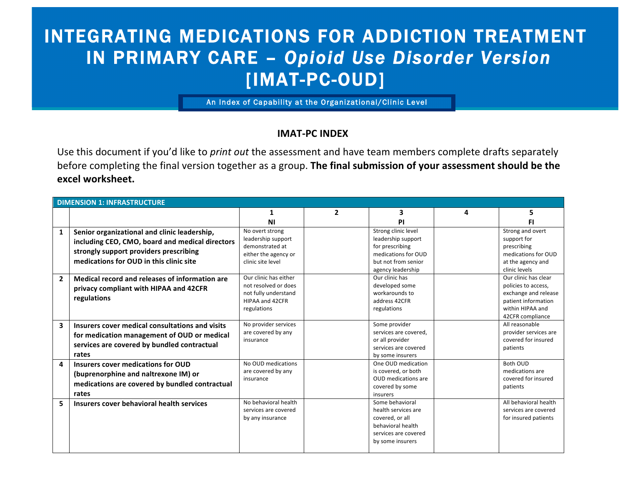## INTEGRATING MEDICATIONS FOR ADDICTION TREATMENT IN PRIMARY CARE – *Opioid Use Disorder Version* [IMAT-PC-OUD]

An Index of Capability at the Organizational/Clinic Level

## **IMAT-PC INDEX**

Use this document if you'd like to *print out* the assessment and have team members complete drafts separately before completing the final version together as a group. The final submission of your assessment should be the **excel worksheet.**

|                | <b>DIMENSION 1: INFRASTRUCTURE</b>              |                       |                |                                      |   |                                             |
|----------------|-------------------------------------------------|-----------------------|----------------|--------------------------------------|---|---------------------------------------------|
|                |                                                 | 1                     | $\overline{2}$ | 3                                    | 4 | 5                                           |
|                |                                                 | ΝI                    |                | ΡI                                   |   | FI                                          |
| 1              | Senior organizational and clinic leadership,    | No overt strong       |                | Strong clinic level                  |   | Strong and overt                            |
|                | including CEO, CMO, board and medical directors | leadership support    |                | leadership support                   |   | support for                                 |
|                | strongly support providers prescribing          | demonstrated at       |                | for prescribing                      |   | prescribing                                 |
|                | medications for OUD in this clinic site         | either the agency or  |                | medications for OUD                  |   | medications for OUD                         |
|                |                                                 | clinic site level     |                | but not from senior                  |   | at the agency and                           |
|                |                                                 | Our clinic has either |                | agency leadership<br>Our clinic has  |   | clinic levels<br>Our clinic has clear       |
| $\overline{2}$ | Medical record and releases of information are  | not resolved or does  |                | developed some                       |   |                                             |
|                | privacy compliant with HIPAA and 42CFR          | not fully understand  |                | workarounds to                       |   | policies to access,<br>exchange and release |
|                | regulations                                     | HIPAA and 42CFR       |                | address 42CFR                        |   | patient information                         |
|                |                                                 | regulations           |                | regulations                          |   | within HIPAA and                            |
|                |                                                 |                       |                |                                      |   | 42CFR compliance                            |
| 3              | Insurers cover medical consultations and visits | No provider services  |                | Some provider                        |   | All reasonable                              |
|                | for medication management of OUD or medical     | are covered by any    |                | services are covered,                |   | provider services are                       |
|                |                                                 | insurance             |                | or all provider                      |   | covered for insured                         |
|                | services are covered by bundled contractual     |                       |                | services are covered                 |   | patients                                    |
|                | rates                                           |                       |                | by some insurers                     |   |                                             |
| 4              | <b>Insurers cover medications for OUD</b>       | No OUD medications    |                | One OUD medication                   |   | Both OUD                                    |
|                | (buprenorphine and naltrexone IM) or            | are covered by any    |                | is covered, or both                  |   | medications are                             |
|                | medications are covered by bundled contractual  | insurance             |                | OUD medications are                  |   | covered for insured                         |
|                |                                                 |                       |                | covered by some                      |   | patients                                    |
|                | rates                                           |                       |                | insurers                             |   |                                             |
| 5              | Insurers cover behavioral health services       | No behavioral health  |                | Some behavioral                      |   | All behavioral health                       |
|                |                                                 | services are covered  |                | health services are                  |   | services are covered                        |
|                |                                                 | by any insurance      |                | covered, or all<br>behavioral health |   | for insured patients                        |
|                |                                                 |                       |                | services are covered                 |   |                                             |
|                |                                                 |                       |                | by some insurers                     |   |                                             |
|                |                                                 |                       |                |                                      |   |                                             |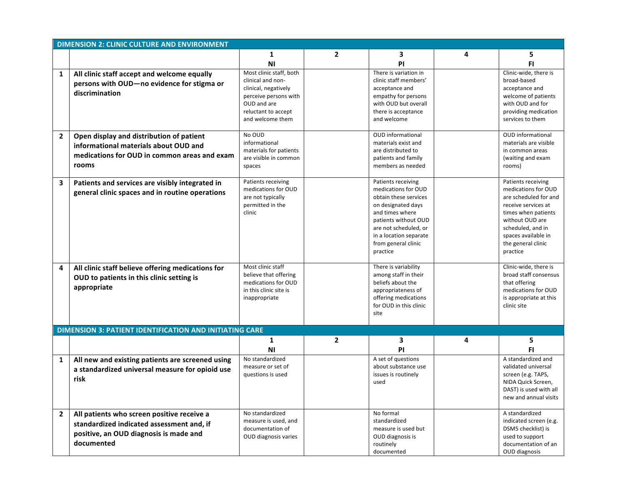|                | <b>DIMENSION 2: CLINIC CULTURE AND ENVIRONMENT</b>                                                                                              |                                                                                                                                                         |                |                                                                                                                                                                                                                           |   |                                                                                                                                                                                                                   |  |  |
|----------------|-------------------------------------------------------------------------------------------------------------------------------------------------|---------------------------------------------------------------------------------------------------------------------------------------------------------|----------------|---------------------------------------------------------------------------------------------------------------------------------------------------------------------------------------------------------------------------|---|-------------------------------------------------------------------------------------------------------------------------------------------------------------------------------------------------------------------|--|--|
|                |                                                                                                                                                 | 1                                                                                                                                                       | $\overline{2}$ | 3                                                                                                                                                                                                                         | 4 | 5                                                                                                                                                                                                                 |  |  |
|                |                                                                                                                                                 | <b>NI</b>                                                                                                                                               |                | PI                                                                                                                                                                                                                        |   | FI.                                                                                                                                                                                                               |  |  |
| $\mathbf{1}$   | All clinic staff accept and welcome equally<br>persons with OUD-no evidence for stigma or<br>discrimination                                     | Most clinic staff, both<br>clinical and non-<br>clinical, negatively<br>perceive persons with<br>OUD and are<br>reluctant to accept<br>and welcome them |                | There is variation in<br>clinic staff members'<br>acceptance and<br>empathy for persons<br>with OUD but overall<br>there is acceptance<br>and welcome                                                                     |   | Clinic-wide, there is<br>broad-based<br>acceptance and<br>welcome of patients<br>with OUD and for<br>providing medication<br>services to them                                                                     |  |  |
| $\overline{2}$ | Open display and distribution of patient<br>informational materials about OUD and<br>medications for OUD in common areas and exam<br>rooms      | No OUD<br>informational<br>materials for patients<br>are visible in common<br>spaces                                                                    |                | <b>OUD</b> informational<br>materials exist and<br>are distributed to<br>patients and family<br>members as needed                                                                                                         |   | <b>OUD</b> informational<br>materials are visible<br>in common areas<br>(waiting and exam<br>rooms)                                                                                                               |  |  |
| 3              | Patients and services are visibly integrated in<br>general clinic spaces and in routine operations                                              | Patients receiving<br>medications for OUD<br>are not typically<br>permitted in the<br>clinic                                                            |                | Patients receiving<br>medications for OUD<br>obtain these services<br>on designated days<br>and times where<br>patients without OUD<br>are not scheduled, or<br>in a location separate<br>from general clinic<br>practice |   | Patients receiving<br>medications for OUD<br>are scheduled for and<br>receive services at<br>times when patients<br>without OUD are<br>scheduled, and in<br>spaces available in<br>the general clinic<br>practice |  |  |
| 4              | All clinic staff believe offering medications for<br>OUD to patients in this clinic setting is<br>appropriate                                   | Most clinic staff<br>believe that offering<br>medications for OUD<br>in this clinic site is<br>inappropriate                                            |                | There is variability<br>among staff in their<br>beliefs about the<br>appropriateness of<br>offering medications<br>for OUD in this clinic<br>site                                                                         |   | Clinic-wide, there is<br>broad staff consensus<br>that offering<br>medications for OUD<br>is appropriate at this<br>clinic site                                                                                   |  |  |
|                | <b>DIMENSION 3: PATIENT IDENTIFICATION AND INITIATING CARE</b>                                                                                  |                                                                                                                                                         |                |                                                                                                                                                                                                                           |   |                                                                                                                                                                                                                   |  |  |
|                |                                                                                                                                                 | 1<br>ΝI                                                                                                                                                 | $\overline{2}$ | 3<br>PI                                                                                                                                                                                                                   | 4 | 5<br>FI.                                                                                                                                                                                                          |  |  |
| $\mathbf{1}$   | All new and existing patients are screened using<br>a standardized universal measure for opioid use<br>risk                                     | No standardized<br>measure or set of<br>questions is used                                                                                               |                | A set of questions<br>about substance use<br>issues is routinely<br>used                                                                                                                                                  |   | A standardized and<br>validated universal<br>screen (e.g. TAPS,<br>NIDA Quick Screen,<br>DAST) is used with all<br>new and annual visits                                                                          |  |  |
| $\overline{2}$ | All patients who screen positive receive a<br>standardized indicated assessment and, if<br>positive, an OUD diagnosis is made and<br>documented | No standardized<br>measure is used, and<br>documentation of<br>OUD diagnosis varies                                                                     |                | No formal<br>standardized<br>measure is used but<br>OUD diagnosis is<br>routinely<br>documented                                                                                                                           |   | A standardized<br>indicated screen (e.g.<br>DSM5 checklist) is<br>used to support<br>documentation of an<br>OUD diagnosis                                                                                         |  |  |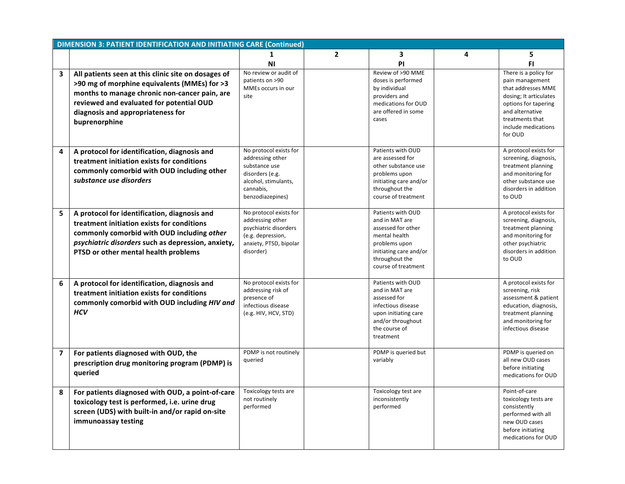|                         | <b>DIMENSION 3: PATIENT IDENTIFICATION AND INITIATING CARE (Continued)</b>                                                                                                                                                                             |                                                                                                                                         |                |                                                                                                                                                                |   |                                                                                                                                                                                          |  |
|-------------------------|--------------------------------------------------------------------------------------------------------------------------------------------------------------------------------------------------------------------------------------------------------|-----------------------------------------------------------------------------------------------------------------------------------------|----------------|----------------------------------------------------------------------------------------------------------------------------------------------------------------|---|------------------------------------------------------------------------------------------------------------------------------------------------------------------------------------------|--|
|                         |                                                                                                                                                                                                                                                        | $\mathbf{1}$                                                                                                                            | $\overline{2}$ | 3                                                                                                                                                              | 4 | 5                                                                                                                                                                                        |  |
|                         |                                                                                                                                                                                                                                                        | <b>NI</b>                                                                                                                               |                | PI                                                                                                                                                             |   | <b>FI</b>                                                                                                                                                                                |  |
| $\overline{\mathbf{3}}$ | All patients seen at this clinic site on dosages of<br>>90 mg of morphine equivalents (MMEs) for >3<br>months to manage chronic non-cancer pain, are<br>reviewed and evaluated for potential OUD<br>diagnosis and appropriateness for<br>buprenorphine | No review or audit of<br>patients on >90<br>MMEs occurs in our<br>site                                                                  |                | Review of >90 MME<br>doses is performed<br>by individual<br>providers and<br>medications for OUD<br>are offered in some<br>cases                               |   | There is a policy for<br>pain management<br>that addresses MME<br>dosing; It articulates<br>options for tapering<br>and alternative<br>treatments that<br>include medications<br>for OUD |  |
| 4                       | A protocol for identification, diagnosis and<br>treatment initiation exists for conditions<br>commonly comorbid with OUD including other<br>substance use disorders                                                                                    | No protocol exists for<br>addressing other<br>substance use<br>disorders (e.g.<br>alcohol, stimulants,<br>cannabis,<br>benzodiazepines) |                | Patients with OUD<br>are assessed for<br>other substance use<br>problems upon<br>initiating care and/or<br>throughout the<br>course of treatment               |   | A protocol exists for<br>screening, diagnosis,<br>treatment planning<br>and monitoring for<br>other substance use<br>disorders in addition<br>to OUD                                     |  |
| 5                       | A protocol for identification, diagnosis and<br>treatment initiation exists for conditions<br>commonly comorbid with OUD including other<br>psychiatric disorders such as depression, anxiety,<br>PTSD or other mental health problems                 | No protocol exists for<br>addressing other<br>psychiatric disorders<br>(e.g. depression,<br>anxiety, PTSD, bipolar<br>disorder)         |                | Patients with OUD<br>and in MAT are<br>assessed for other<br>mental health<br>problems upon<br>initiating care and/or<br>throughout the<br>course of treatment |   | A protocol exists for<br>screening, diagnosis,<br>treatment planning<br>and monitoring for<br>other psychiatric<br>disorders in addition<br>to OUD                                       |  |
| 6                       | A protocol for identification, diagnosis and<br>treatment initiation exists for conditions<br>commonly comorbid with OUD including HIV and<br><b>HCV</b>                                                                                               | No protocol exists for<br>addressing risk of<br>presence of<br>infectious disease<br>(e.g. HIV, HCV, STD)                               |                | Patients with OUD<br>and in MAT are<br>assessed for<br>infectious disease<br>upon initiating care<br>and/or throughout<br>the course of<br>treatment           |   | A protocol exists for<br>screening, risk<br>assessment & patient<br>education, diagnosis,<br>treatment planning<br>and monitoring for<br>infectious disease                              |  |
| $\overline{\mathbf{z}}$ | For patients diagnosed with OUD, the<br>prescription drug monitoring program (PDMP) is<br>queried                                                                                                                                                      | PDMP is not routinely<br>queried                                                                                                        |                | PDMP is queried but<br>variably                                                                                                                                |   | PDMP is queried on<br>all new OUD cases<br>before initiating<br>medications for OUD                                                                                                      |  |
| 8                       | For patients diagnosed with OUD, a point-of-care<br>toxicology test is performed, i.e. urine drug<br>screen (UDS) with built-in and/or rapid on-site<br>immunoassay testing                                                                            | Toxicology tests are<br>not routinely<br>performed                                                                                      |                | Toxicology test are<br>inconsistently<br>performed                                                                                                             |   | Point-of-care<br>toxicology tests are<br>consistently<br>performed with all<br>new OUD cases<br>before initiating<br>medications for OUD                                                 |  |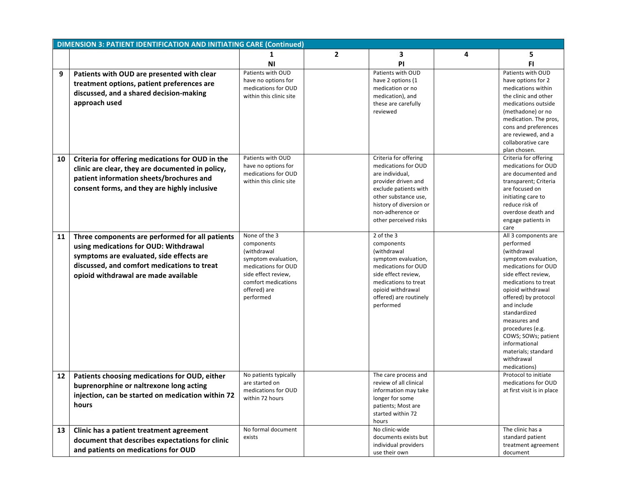|    | <b>DIMENSION 3: PATIENT IDENTIFICATION AND INITIATING CARE (Continued)</b>                                                          |                                                                 |                |                                                            |   |                                                                                                                                                                                |  |
|----|-------------------------------------------------------------------------------------------------------------------------------------|-----------------------------------------------------------------|----------------|------------------------------------------------------------|---|--------------------------------------------------------------------------------------------------------------------------------------------------------------------------------|--|
|    |                                                                                                                                     |                                                                 | $\overline{2}$ | 3                                                          | 4 | 5                                                                                                                                                                              |  |
|    |                                                                                                                                     | ΝI                                                              |                | PI                                                         |   | FI.                                                                                                                                                                            |  |
| 9  | Patients with OUD are presented with clear<br>treatment options, patient preferences are<br>discussed, and a shared decision-making | Patients with OUD<br>have no options for<br>medications for OUD |                | Patients with OUD<br>have 2 options (1<br>medication or no |   | Patients with OUD<br>have options for 2<br>medications within                                                                                                                  |  |
|    | approach used                                                                                                                       | within this clinic site                                         |                | medication), and<br>these are carefully<br>reviewed        |   | the clinic and other<br>medications outside<br>(methadone) or no<br>medication. The pros,<br>cons and preferences<br>are reviewed, and a<br>collaborative care<br>plan chosen. |  |
| 10 | Criteria for offering medications for OUD in the                                                                                    | Patients with OUD                                               |                | Criteria for offering                                      |   | Criteria for offering                                                                                                                                                          |  |
|    | clinic are clear, they are documented in policy,                                                                                    | have no options for<br>medications for OUD                      |                | medications for OUD                                        |   | medications for OUD                                                                                                                                                            |  |
|    | patient information sheets/brochures and                                                                                            | within this clinic site                                         |                | are individual,<br>provider driven and                     |   | are documented and<br>transparent; Criteria                                                                                                                                    |  |
|    | consent forms, and they are highly inclusive                                                                                        |                                                                 |                | exclude patients with                                      |   | are focused on                                                                                                                                                                 |  |
|    |                                                                                                                                     |                                                                 |                | other substance use,                                       |   | initiating care to                                                                                                                                                             |  |
|    |                                                                                                                                     |                                                                 |                | history of diversion or                                    |   | reduce risk of                                                                                                                                                                 |  |
|    |                                                                                                                                     |                                                                 |                | non-adherence or<br>other perceived risks                  |   | overdose death and                                                                                                                                                             |  |
|    |                                                                                                                                     |                                                                 |                |                                                            |   | engage patients in<br>care                                                                                                                                                     |  |
| 11 | Three components are performed for all patients                                                                                     | None of the 3                                                   |                | 2 of the 3                                                 |   | All 3 components are                                                                                                                                                           |  |
|    | using medications for OUD: Withdrawal                                                                                               | components                                                      |                | components                                                 |   | performed                                                                                                                                                                      |  |
|    | symptoms are evaluated, side effects are                                                                                            | (withdrawal                                                     |                | (withdrawal                                                |   | (withdrawal                                                                                                                                                                    |  |
|    | discussed, and comfort medications to treat                                                                                         | symptom evaluation,<br>medications for OUD                      |                | symptom evaluation,<br>medications for OUD                 |   | symptom evaluation,<br>medications for OUD                                                                                                                                     |  |
|    | opioid withdrawal are made available                                                                                                | side effect review,                                             |                | side effect review,                                        |   | side effect review,                                                                                                                                                            |  |
|    |                                                                                                                                     | comfort medications                                             |                | medications to treat                                       |   | medications to treat                                                                                                                                                           |  |
|    |                                                                                                                                     | offered) are                                                    |                | opioid withdrawal                                          |   | opioid withdrawal                                                                                                                                                              |  |
|    |                                                                                                                                     | performed                                                       |                | offered) are routinely<br>performed                        |   | offered) by protocol<br>and include                                                                                                                                            |  |
|    |                                                                                                                                     |                                                                 |                |                                                            |   | standardized                                                                                                                                                                   |  |
|    |                                                                                                                                     |                                                                 |                |                                                            |   | measures and                                                                                                                                                                   |  |
|    |                                                                                                                                     |                                                                 |                |                                                            |   | procedures (e.g.                                                                                                                                                               |  |
|    |                                                                                                                                     |                                                                 |                |                                                            |   | COWS; SOWs; patient<br>informational                                                                                                                                           |  |
|    |                                                                                                                                     |                                                                 |                |                                                            |   | materials; standard                                                                                                                                                            |  |
|    |                                                                                                                                     |                                                                 |                |                                                            |   | withdrawal                                                                                                                                                                     |  |
|    |                                                                                                                                     |                                                                 |                |                                                            |   | medications)                                                                                                                                                                   |  |
| 12 | Patients choosing medications for OUD, either                                                                                       | No patients typically<br>are started on                         |                | The care process and<br>review of all clinical             |   | Protocol to initiate<br>medications for OUD                                                                                                                                    |  |
|    | buprenorphine or naltrexone long acting                                                                                             | medications for OUD                                             |                | information may take                                       |   | at first visit is in place                                                                                                                                                     |  |
|    | injection, can be started on medication within 72                                                                                   | within 72 hours                                                 |                | longer for some                                            |   |                                                                                                                                                                                |  |
|    | hours                                                                                                                               |                                                                 |                | patients; Most are                                         |   |                                                                                                                                                                                |  |
|    |                                                                                                                                     |                                                                 |                | started within 72                                          |   |                                                                                                                                                                                |  |
|    |                                                                                                                                     | No formal document                                              |                | hours<br>No clinic-wide                                    |   | The clinic has a                                                                                                                                                               |  |
| 13 | Clinic has a patient treatment agreement                                                                                            | exists                                                          |                | documents exists but                                       |   | standard patient                                                                                                                                                               |  |
|    | document that describes expectations for clinic                                                                                     |                                                                 |                | individual providers                                       |   | treatment agreement                                                                                                                                                            |  |
|    | and patients on medications for OUD                                                                                                 |                                                                 |                | use their own                                              |   | document                                                                                                                                                                       |  |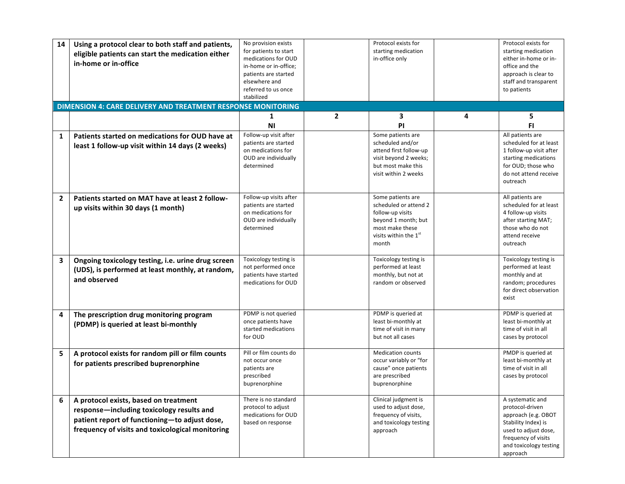| 14             | Using a protocol clear to both staff and patients,<br>eligible patients can start the medication either<br>in-home or in-office<br>DIMENSION 4: CARE DELIVERY AND TREATMENT RESPONSE MONITORING | No provision exists<br>for patients to start<br>medications for OUD<br>in-home or in-office;<br>patients are started<br>elsewhere and<br>referred to us once<br>stabilized |                | Protocol exists for<br>starting medication<br>in-office only                                                                                           |   | Protocol exists for<br>starting medication<br>either in-home or in-<br>office and the<br>approach is clear to<br>staff and transparent<br>to patients                  |
|----------------|-------------------------------------------------------------------------------------------------------------------------------------------------------------------------------------------------|----------------------------------------------------------------------------------------------------------------------------------------------------------------------------|----------------|--------------------------------------------------------------------------------------------------------------------------------------------------------|---|------------------------------------------------------------------------------------------------------------------------------------------------------------------------|
|                |                                                                                                                                                                                                 | 1<br>ΝI                                                                                                                                                                    | $\overline{2}$ | 3<br>PI                                                                                                                                                | 4 | 5<br>FI.                                                                                                                                                               |
| $\mathbf{1}$   | Patients started on medications for OUD have at<br>least 1 follow-up visit within 14 days (2 weeks)                                                                                             | Follow-up visit after<br>patients are started<br>on medications for<br>OUD are individually<br>determined                                                                  |                | Some patients are<br>scheduled and/or<br>attend first follow-up<br>visit beyond 2 weeks;<br>but most make this<br>visit within 2 weeks                 |   | All patients are<br>scheduled for at least<br>1 follow-up visit after<br>starting medications<br>for OUD; those who<br>do not attend receive<br>outreach               |
| $\overline{2}$ | Patients started on MAT have at least 2 follow-<br>up visits within 30 days (1 month)                                                                                                           | Follow-up visits after<br>patients are started<br>on medications for<br>OUD are individually<br>determined                                                                 |                | Some patients are<br>scheduled or attend 2<br>follow-up visits<br>beyond 1 month; but<br>most make these<br>visits within the 1 <sup>st</sup><br>month |   | All patients are<br>scheduled for at least<br>4 follow-up visits<br>after starting MAT;<br>those who do not<br>attend receive<br>outreach                              |
| 3              | Ongoing toxicology testing, i.e. urine drug screen<br>(UDS), is performed at least monthly, at random,<br>and observed                                                                          | Toxicology testing is<br>not performed once<br>patients have started<br>medications for OUD                                                                                |                | Toxicology testing is<br>performed at least<br>monthly, but not at<br>random or observed                                                               |   | Toxicology testing is<br>performed at least<br>monthly and at<br>random; procedures<br>for direct observation<br>exist                                                 |
| 4              | The prescription drug monitoring program<br>(PDMP) is queried at least bi-monthly                                                                                                               | PDMP is not queried<br>once patients have<br>started medications<br>for OUD                                                                                                |                | PDMP is queried at<br>least bi-monthly at<br>time of visit in many<br>but not all cases                                                                |   | PDMP is queried at<br>least bi-monthly at<br>time of visit in all<br>cases by protocol                                                                                 |
| 5              | A protocol exists for random pill or film counts<br>for patients prescribed buprenorphine                                                                                                       | Pill or film counts do<br>not occur once<br>patients are<br>prescribed<br>buprenorphine                                                                                    |                | <b>Medication counts</b><br>occur variably or "for<br>cause" once patients<br>are prescribed<br>buprenorphine                                          |   | PMDP is queried at<br>least bi-monthly at<br>time of visit in all<br>cases by protocol                                                                                 |
| 6              | A protocol exists, based on treatment<br>response-including toxicology results and<br>patient report of functioning-to adjust dose,<br>frequency of visits and toxicological monitoring         | There is no standard<br>protocol to adjust<br>medications for OUD<br>based on response                                                                                     |                | Clinical judgment is<br>used to adjust dose,<br>frequency of visits,<br>and toxicology testing<br>approach                                             |   | A systematic and<br>protocol-driven<br>approach (e.g. OBOT<br>Stability Index) is<br>used to adjust dose,<br>frequency of visits<br>and toxicology testing<br>approach |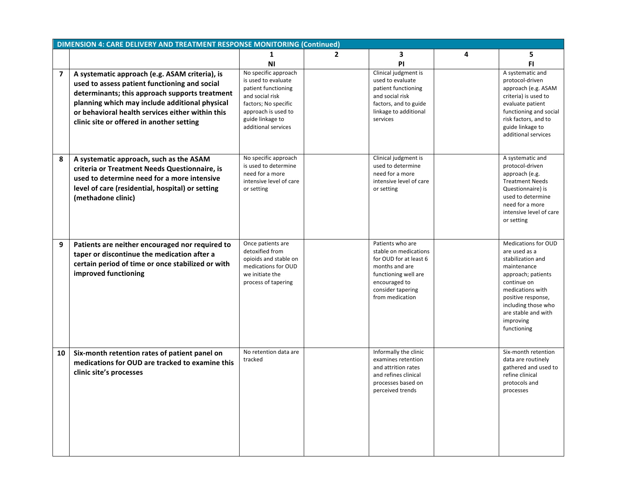|                | DIMENSION 4: CARE DELIVERY AND TREATMENT RESPONSE MONITORING (Continued)                                                                                                                                                                                                                             |                                                                                                                                                                                 |   |                                                                                                                                                                        |   |                                                                                                                                                                                                                                          |  |
|----------------|------------------------------------------------------------------------------------------------------------------------------------------------------------------------------------------------------------------------------------------------------------------------------------------------------|---------------------------------------------------------------------------------------------------------------------------------------------------------------------------------|---|------------------------------------------------------------------------------------------------------------------------------------------------------------------------|---|------------------------------------------------------------------------------------------------------------------------------------------------------------------------------------------------------------------------------------------|--|
|                |                                                                                                                                                                                                                                                                                                      |                                                                                                                                                                                 | 2 | 3                                                                                                                                                                      | 4 | 5                                                                                                                                                                                                                                        |  |
|                |                                                                                                                                                                                                                                                                                                      | ΝI                                                                                                                                                                              |   | PI                                                                                                                                                                     |   | FI.                                                                                                                                                                                                                                      |  |
| $\overline{7}$ | A systematic approach (e.g. ASAM criteria), is<br>used to assess patient functioning and social<br>determinants; this approach supports treatment<br>planning which may include additional physical<br>or behavioral health services either within this<br>clinic site or offered in another setting | No specific approach<br>is used to evaluate<br>patient functioning<br>and social risk<br>factors; No specific<br>approach is used to<br>guide linkage to<br>additional services |   | Clinical judgment is<br>used to evaluate<br>patient functioning<br>and social risk<br>factors, and to guide<br>linkage to additional<br>services                       |   | A systematic and<br>protocol-driven<br>approach (e.g. ASAM<br>criteria) is used to<br>evaluate patient<br>functioning and social<br>risk factors, and to<br>guide linkage to<br>additional services                                      |  |
| 8              | A systematic approach, such as the ASAM<br>criteria or Treatment Needs Questionnaire, is<br>used to determine need for a more intensive<br>level of care (residential, hospital) or setting<br>(methadone clinic)                                                                                    | No specific approach<br>is used to determine<br>need for a more<br>intensive level of care<br>or setting                                                                        |   | Clinical judgment is<br>used to determine<br>need for a more<br>intensive level of care<br>or setting                                                                  |   | A systematic and<br>protocol-driven<br>approach (e.g.<br><b>Treatment Needs</b><br>Questionnaire) is<br>used to determine<br>need for a more<br>intensive level of care<br>or setting                                                    |  |
| 9              | Patients are neither encouraged nor required to<br>taper or discontinue the medication after a<br>certain period of time or once stabilized or with<br>improved functioning                                                                                                                          | Once patients are<br>detoxified from<br>opioids and stable on<br>medications for OUD<br>we initiate the<br>process of tapering                                                  |   | Patients who are<br>stable on medications<br>for OUD for at least 6<br>months and are<br>functioning well are<br>encouraged to<br>consider tapering<br>from medication |   | <b>Medications for OUD</b><br>are used as a<br>stabilization and<br>maintenance<br>approach; patients<br>continue on<br>medications with<br>positive response,<br>including those who<br>are stable and with<br>improving<br>functioning |  |
| 10             | Six-month retention rates of patient panel on<br>medications for OUD are tracked to examine this<br>clinic site's processes                                                                                                                                                                          | No retention data are<br>tracked                                                                                                                                                |   | Informally the clinic<br>examines retention<br>and attrition rates<br>and refines clinical<br>processes based on<br>perceived trends                                   |   | Six-month retention<br>data are routinely<br>gathered and used to<br>refine clinical<br>protocols and<br>processes                                                                                                                       |  |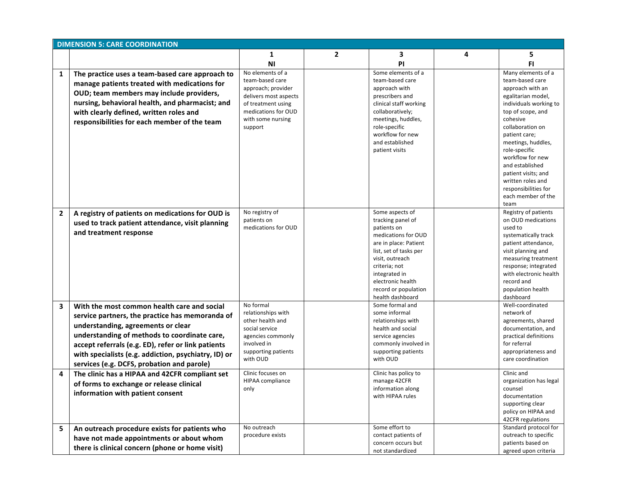|                | <b>DIMENSION 5: CARE COORDINATION</b>                |                                          |                |                                                 |   |                                             |
|----------------|------------------------------------------------------|------------------------------------------|----------------|-------------------------------------------------|---|---------------------------------------------|
|                |                                                      | 1                                        | $\overline{2}$ | 3                                               | 4 | 5                                           |
|                |                                                      | <b>NI</b>                                |                | PI                                              |   | FI                                          |
| $\mathbf{1}$   | The practice uses a team-based care approach to      | No elements of a                         |                | Some elements of a                              |   | Many elements of a                          |
|                | manage patients treated with medications for         | team-based care                          |                | team-based care                                 |   | team-based care                             |
|                | OUD; team members may include providers,             | approach; provider                       |                | approach with                                   |   | approach with an                            |
|                |                                                      | delivers most aspects                    |                | prescribers and                                 |   | egalitarian model,                          |
|                | nursing, behavioral health, and pharmacist; and      | of treatment using                       |                | clinical staff working                          |   | individuals working to                      |
|                | with clearly defined, written roles and              | medications for OUD<br>with some nursing |                | collaboratively;<br>meetings, huddles,          |   | top of scope, and<br>cohesive               |
|                | responsibilities for each member of the team         | support                                  |                | role-specific                                   |   | collaboration on                            |
|                |                                                      |                                          |                | workflow for new                                |   | patient care;                               |
|                |                                                      |                                          |                | and established                                 |   | meetings, huddles,                          |
|                |                                                      |                                          |                | patient visits                                  |   | role-specific                               |
|                |                                                      |                                          |                |                                                 |   | workflow for new                            |
|                |                                                      |                                          |                |                                                 |   | and established                             |
|                |                                                      |                                          |                |                                                 |   | patient visits; and<br>written roles and    |
|                |                                                      |                                          |                |                                                 |   | responsibilities for                        |
|                |                                                      |                                          |                |                                                 |   | each member of the                          |
|                |                                                      |                                          |                |                                                 |   | team                                        |
| $\overline{2}$ | A registry of patients on medications for OUD is     | No registry of                           |                | Some aspects of                                 |   | Registry of patients                        |
|                | used to track patient attendance, visit planning     | patients on                              |                | tracking panel of                               |   | on OUD medications                          |
|                | and treatment response                               | medications for OUD                      |                | patients on                                     |   | used to                                     |
|                |                                                      |                                          |                | medications for OUD                             |   | systematically track<br>patient attendance, |
|                |                                                      |                                          |                | are in place: Patient<br>list, set of tasks per |   | visit planning and                          |
|                |                                                      |                                          |                | visit, outreach                                 |   | measuring treatment                         |
|                |                                                      |                                          |                | criteria; not                                   |   | response; integrated                        |
|                |                                                      |                                          |                | integrated in                                   |   | with electronic health                      |
|                |                                                      |                                          |                | electronic health                               |   | record and                                  |
|                |                                                      |                                          |                | record or population                            |   | population health                           |
|                |                                                      |                                          |                | health dashboard<br>Some formal and             |   | dashboard                                   |
| 3              | With the most common health care and social          | No formal<br>relationships with          |                | some informal                                   |   | Well-coordinated<br>network of              |
|                | service partners, the practice has memoranda of      | other health and                         |                | relationships with                              |   | agreements, shared                          |
|                | understanding, agreements or clear                   | social service                           |                | health and social                               |   | documentation, and                          |
|                | understanding of methods to coordinate care,         | agencies commonly                        |                | service agencies                                |   | practical definitions                       |
|                | accept referrals (e.g. ED), refer or link patients   | involved in                              |                | commonly involved in                            |   | for referral                                |
|                | with specialists (e.g. addiction, psychiatry, ID) or | supporting patients<br>with OUD          |                | supporting patients<br>with OUD                 |   | appropriateness and<br>care coordination    |
|                | services (e.g. DCFS, probation and parole)           |                                          |                |                                                 |   |                                             |
| 4              | The clinic has a HIPAA and 42CFR compliant set       | Clinic focuses on                        |                | Clinic has policy to                            |   | Clinic and                                  |
|                | of forms to exchange or release clinical             | HIPAA compliance                         |                | manage 42CFR                                    |   | organization has legal                      |
|                | information with patient consent                     | only                                     |                | information along                               |   | counsel                                     |
|                |                                                      |                                          |                | with HIPAA rules                                |   | documentation<br>supporting clear           |
|                |                                                      |                                          |                |                                                 |   | policy on HIPAA and                         |
|                |                                                      |                                          |                |                                                 |   | 42CFR regulations                           |
| 5              | An outreach procedure exists for patients who        | No outreach                              |                | Some effort to                                  |   | Standard protocol for                       |
|                | have not made appointments or about whom             | procedure exists                         |                | contact patients of                             |   | outreach to specific                        |
|                | there is clinical concern (phone or home visit)      |                                          |                | concern occurs but                              |   | patients based on                           |
|                |                                                      |                                          |                | not standardized                                |   | agreed upon criteria                        |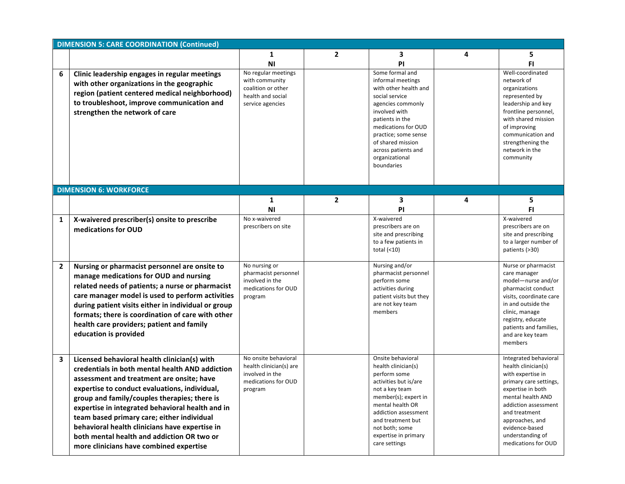|                | <b>DIMENSION 5: CARE COORDINATION (Continued)</b>                                                                                                                                                                                                                                                                                                                                                                                                                                          |                                                                                                      |                |                                                                                                                                                                                                                                                                     |   |                                                                                                                                                                                                                                                                |  |  |
|----------------|--------------------------------------------------------------------------------------------------------------------------------------------------------------------------------------------------------------------------------------------------------------------------------------------------------------------------------------------------------------------------------------------------------------------------------------------------------------------------------------------|------------------------------------------------------------------------------------------------------|----------------|---------------------------------------------------------------------------------------------------------------------------------------------------------------------------------------------------------------------------------------------------------------------|---|----------------------------------------------------------------------------------------------------------------------------------------------------------------------------------------------------------------------------------------------------------------|--|--|
|                |                                                                                                                                                                                                                                                                                                                                                                                                                                                                                            | 1                                                                                                    | $\overline{2}$ | 3                                                                                                                                                                                                                                                                   | 4 | 5                                                                                                                                                                                                                                                              |  |  |
|                |                                                                                                                                                                                                                                                                                                                                                                                                                                                                                            | ΝI                                                                                                   |                | PI                                                                                                                                                                                                                                                                  |   | FI.                                                                                                                                                                                                                                                            |  |  |
| 6              | Clinic leadership engages in regular meetings<br>with other organizations in the geographic<br>region (patient centered medical neighborhood)<br>to troubleshoot, improve communication and<br>strengthen the network of care                                                                                                                                                                                                                                                              | No regular meetings<br>with community<br>coalition or other<br>health and social<br>service agencies |                | Some formal and<br>informal meetings<br>with other health and<br>social service<br>agencies commonly<br>involved with<br>patients in the<br>medications for OUD<br>practice; some sense<br>of shared mission<br>across patients and<br>organizational<br>boundaries |   | Well-coordinated<br>network of<br>organizations<br>represented by<br>leadership and key<br>frontline personnel,<br>with shared mission<br>of improving<br>communication and<br>strengthening the<br>network in the<br>community                                |  |  |
|                | <b>DIMENSION 6: WORKFORCE</b>                                                                                                                                                                                                                                                                                                                                                                                                                                                              |                                                                                                      |                |                                                                                                                                                                                                                                                                     |   |                                                                                                                                                                                                                                                                |  |  |
|                |                                                                                                                                                                                                                                                                                                                                                                                                                                                                                            | 1<br><b>NI</b>                                                                                       | $\overline{2}$ | 3<br>PI                                                                                                                                                                                                                                                             | 4 | 5<br><b>FI</b>                                                                                                                                                                                                                                                 |  |  |
|                |                                                                                                                                                                                                                                                                                                                                                                                                                                                                                            | No x-waivered                                                                                        |                | X-waivered                                                                                                                                                                                                                                                          |   | X-waivered                                                                                                                                                                                                                                                     |  |  |
| $\mathbf{1}$   | X-waivered prescriber(s) onsite to prescribe<br>medications for OUD                                                                                                                                                                                                                                                                                                                                                                                                                        | prescribers on site                                                                                  |                | prescribers are on<br>site and prescribing<br>to a few patients in<br>total $(<10)$                                                                                                                                                                                 |   | prescribers are on<br>site and prescribing<br>to a larger number of<br>patients (>30)                                                                                                                                                                          |  |  |
| $\overline{2}$ | Nursing or pharmacist personnel are onsite to<br>manage medications for OUD and nursing<br>related needs of patients; a nurse or pharmacist<br>care manager model is used to perform activities<br>during patient visits either in individual or group<br>formats; there is coordination of care with other<br>health care providers; patient and family<br>education is provided                                                                                                          | No nursing or<br>pharmacist personnel<br>involved in the<br>medications for OUD<br>program           |                | Nursing and/or<br>pharmacist personnel<br>perform some<br>activities during<br>patient visits but they<br>are not key team<br>members                                                                                                                               |   | Nurse or pharmacist<br>care manager<br>model-nurse and/or<br>pharmacist conduct<br>visits, coordinate care<br>in and outside the<br>clinic, manage<br>registry, educate<br>patients and families,<br>and are key team<br>members                               |  |  |
| 3              | Licensed behavioral health clinician(s) with<br>credentials in both mental health AND addiction<br>assessment and treatment are onsite; have<br>expertise to conduct evaluations, individual,<br>group and family/couples therapies; there is<br>expertise in integrated behavioral health and in<br>team based primary care; either individual<br>behavioral health clinicians have expertise in<br>both mental health and addiction OR two or<br>more clinicians have combined expertise | No onsite behavioral<br>health clinician(s) are<br>involved in the<br>medications for OUD<br>program |                | Onsite behavioral<br>health clinician(s)<br>perform some<br>activities but is/are<br>not a key team<br>member(s); expert in<br>mental health OR<br>addiction assessment<br>and treatment but<br>not both; some<br>expertise in primary<br>care settings             |   | Integrated behavioral<br>health clinician(s)<br>with expertise in<br>primary care settings,<br>expertise in both<br>mental health AND<br>addiction assessment<br>and treatment<br>approaches, and<br>evidence-based<br>understanding of<br>medications for OUD |  |  |